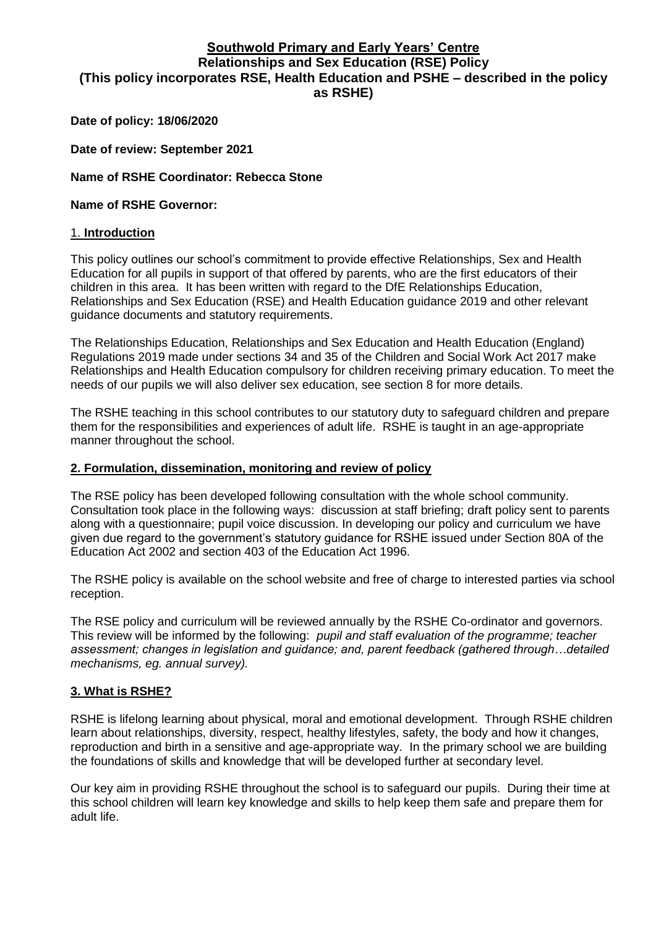# **Southwold Primary and Early Years' Centre Relationships and Sex Education (RSE) Policy (This policy incorporates RSE, Health Education and PSHE – described in the policy as RSHE)**

#### **Date of policy: 18/06/2020**

**Date of review: September 2021**

#### **Name of RSHE Coordinator: Rebecca Stone**

#### **Name of RSHE Governor:**

#### 1. **Introduction**

This policy outlines our school's commitment to provide effective Relationships, Sex and Health Education for all pupils in support of that offered by parents, who are the first educators of their children in this area. It has been written with regard to the DfE Relationships Education, Relationships and Sex Education (RSE) and Health Education guidance 2019 and other relevant guidance documents and statutory requirements.

The Relationships Education, Relationships and Sex Education and Health Education (England) Regulations 2019 made under sections 34 and 35 of the Children and Social Work Act 2017 make Relationships and Health Education compulsory for children receiving primary education. To meet the needs of our pupils we will also deliver sex education, see section 8 for more details.

The RSHE teaching in this school contributes to our statutory duty to safeguard children and prepare them for the responsibilities and experiences of adult life. RSHE is taught in an age-appropriate manner throughout the school.

#### **2. Formulation, dissemination, monitoring and review of policy**

The RSE policy has been developed following consultation with the whole school community. Consultation took place in the following ways: discussion at staff briefing; draft policy sent to parents along with a questionnaire; pupil voice discussion. In developing our policy and curriculum we have given due regard to the government's statutory guidance for RSHE issued under Section 80A of the Education Act 2002 and section 403 of the Education Act 1996.

The RSHE policy is available on the school website and free of charge to interested parties via school reception.

The RSE policy and curriculum will be reviewed annually by the RSHE Co-ordinator and governors. This review will be informed by the following: pupil and staff evaluation of the programme; teacher *assessment; changes in legislation and guidance; and, parent feedback (gathered through…detail*ed mechanisms, eg. annual survey).

### **3. What is RSHE?**

RSHE is lifelong learning about physical, moral and emotional development. Through RSHE children learn about relationships, diversity, respect, healthy lifestyles, safety, the body and how it changes, reproduction and birth in a sensitive and age-appropriate way. In the primary school we are building the foundations of skills and knowledge that will be developed further at secondary level.

Our key aim in providing RSHE throughout the school is to safeguard our pupils. During their time at this school children will learn key knowledge and skills to help keep them safe and prepare them for adult life.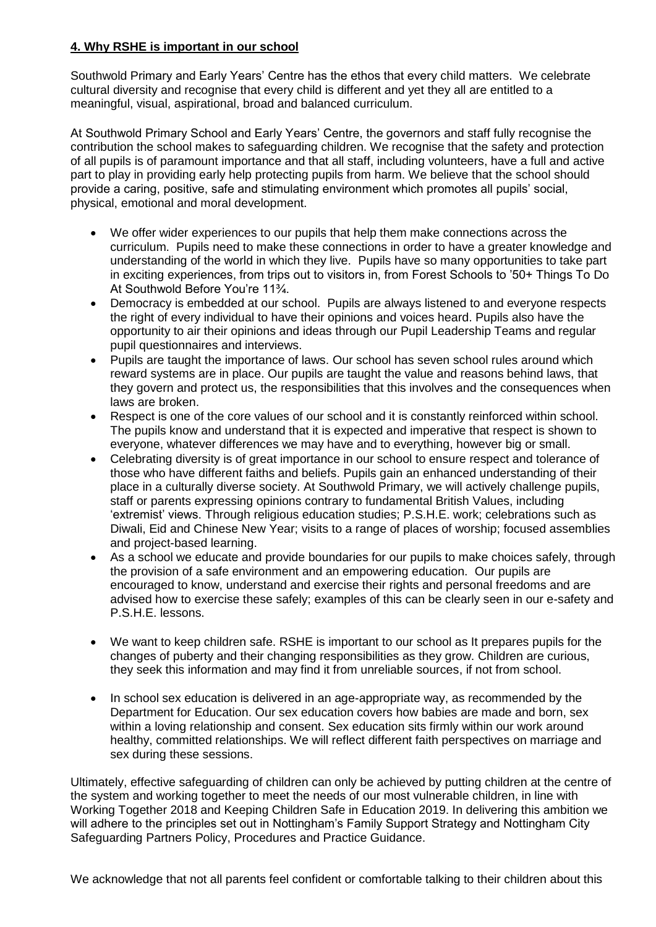### **4. Why RSHE is important in our school**

Southwold Primary and Early Years' Centre has the ethos that every child matters. We celebrate cultural diversity and recognise that every child is different and yet they all are entitled to a meaningful, visual, aspirational, broad and balanced curriculum.

At Southwold Primary School and Early Years' Centre, the governors and staff fully recognise the contribution the school makes to safeguarding children. We recognise that the safety and protection of all pupils is of paramount importance and that all staff, including volunteers, have a full and active part to play in providing early help protecting pupils from harm. We believe that the school should provide a caring, positive, safe and stimulating environment which promotes all pupils' social, physical, emotional and moral development.

- We offer wider experiences to our pupils that help them make connections across the curriculum. Pupils need to make these connections in order to have a greater knowledge and understanding of the world in which they live. Pupils have so many opportunities to take part in exciting experiences, from trips out to visitors in, from Forest Schools to '50+ Things To Do At Southwold Before You're 11¾.
- Democracy is embedded at our school. Pupils are always listened to and everyone respects the right of every individual to have their opinions and voices heard. Pupils also have the opportunity to air their opinions and ideas through our Pupil Leadership Teams and regular pupil questionnaires and interviews.
- Pupils are taught the importance of laws. Our school has seven school rules around which reward systems are in place. Our pupils are taught the value and reasons behind laws, that they govern and protect us, the responsibilities that this involves and the consequences when laws are broken.
- Respect is one of the core values of our school and it is constantly reinforced within school. The pupils know and understand that it is expected and imperative that respect is shown to everyone, whatever differences we may have and to everything, however big or small.
- Celebrating diversity is of great importance in our school to ensure respect and tolerance of those who have different faiths and beliefs. Pupils gain an enhanced understanding of their place in a culturally diverse society. At Southwold Primary, we will actively challenge pupils, staff or parents expressing opinions contrary to fundamental British Values, including 'extremist' views. Through religious education studies; P.S.H.E. work; celebrations such as Diwali, Eid and Chinese New Year; visits to a range of places of worship; focused assemblies and project-based learning.
- As a school we educate and provide boundaries for our pupils to make choices safely, through the provision of a safe environment and an empowering education. Our pupils are encouraged to know, understand and exercise their rights and personal freedoms and are advised how to exercise these safely; examples of this can be clearly seen in our e-safety and P.S.H.E. lessons.
- We want to keep children safe. RSHE is important to our school as It prepares pupils for the changes of puberty and their changing responsibilities as they grow. Children are curious, they seek this information and may find it from unreliable sources, if not from school.
- In school sex education is delivered in an age-appropriate way, as recommended by the Department for Education. Our sex education covers how babies are made and born, sex within a loving relationship and consent. Sex education sits firmly within our work around healthy, committed relationships. We will reflect different faith perspectives on marriage and sex during these sessions.

Ultimately, effective safeguarding of children can only be achieved by putting children at the centre of the system and working together to meet the needs of our most vulnerable children, in line with Working Together 2018 and Keeping Children Safe in Education 2019. In delivering this ambition we will adhere to the principles set out in Nottingham's Family Support Strategy and Nottingham City Safeguarding Partners Policy, Procedures and Practice Guidance.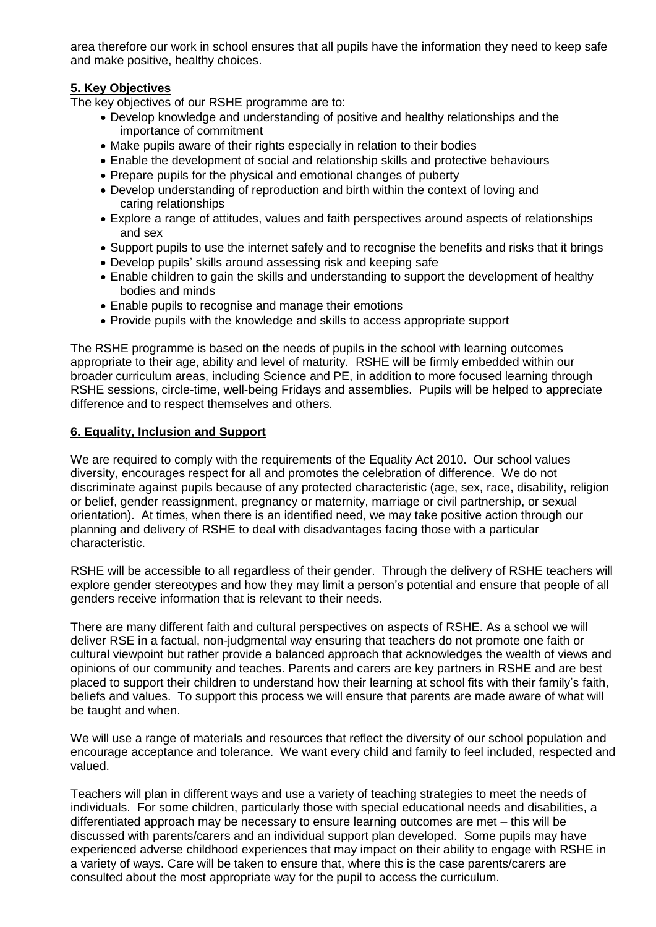area therefore our work in school ensures that all pupils have the information they need to keep safe and make positive, healthy choices.

### **5. Key Objectives**

The key objectives of our RSHE programme are to:

- Develop knowledge and understanding of positive and healthy relationships and the importance of commitment
- Make pupils aware of their rights especially in relation to their bodies
- Enable the development of social and relationship skills and protective behaviours
- Prepare pupils for the physical and emotional changes of puberty
- Develop understanding of reproduction and birth within the context of loving and caring relationships
- Explore a range of attitudes, values and faith perspectives around aspects of relationships and sex
- Support pupils to use the internet safely and to recognise the benefits and risks that it brings
- Develop pupils' skills around assessing risk and keeping safe
- Enable children to gain the skills and understanding to support the development of healthy bodies and minds
- Enable pupils to recognise and manage their emotions
- Provide pupils with the knowledge and skills to access appropriate support

The RSHE programme is based on the needs of pupils in the school with learning outcomes appropriate to their age, ability and level of maturity. RSHE will be firmly embedded within our broader curriculum areas, including Science and PE, in addition to more focused learning through RSHE sessions, circle-time, well-being Fridays and assemblies. Pupils will be helped to appreciate difference and to respect themselves and others.

### **6. Equality, Inclusion and Support**

We are required to comply with the requirements of the Equality Act 2010. Our school values diversity, encourages respect for all and promotes the celebration of difference. We do not discriminate against pupils because of any protected characteristic (age, sex, race, disability, religion or belief, gender reassignment, pregnancy or maternity, marriage or civil partnership, or sexual orientation). At times, when there is an identified need, we may take positive action through our planning and delivery of RSHE to deal with disadvantages facing those with a particular characteristic.

RSHE will be accessible to all regardless of their gender. Through the delivery of RSHE teachers will explore gender stereotypes and how they may limit a person's potential and ensure that people of all genders receive information that is relevant to their needs.

There are many different faith and cultural perspectives on aspects of RSHE. As a school we will deliver RSE in a factual, non-judgmental way ensuring that teachers do not promote one faith or cultural viewpoint but rather provide a balanced approach that acknowledges the wealth of views and opinions of our community and teaches. Parents and carers are key partners in RSHE and are best placed to support their children to understand how their learning at school fits with their family's faith, beliefs and values. To support this process we will ensure that parents are made aware of what will be taught and when.

We will use a range of materials and resources that reflect the diversity of our school population and encourage acceptance and tolerance. We want every child and family to feel included, respected and valued.

Teachers will plan in different ways and use a variety of teaching strategies to meet the needs of individuals. For some children, particularly those with special educational needs and disabilities, a differentiated approach may be necessary to ensure learning outcomes are met – this will be discussed with parents/carers and an individual support plan developed. Some pupils may have experienced adverse childhood experiences that may impact on their ability to engage with RSHE in a variety of ways. Care will be taken to ensure that, where this is the case parents/carers are consulted about the most appropriate way for the pupil to access the curriculum.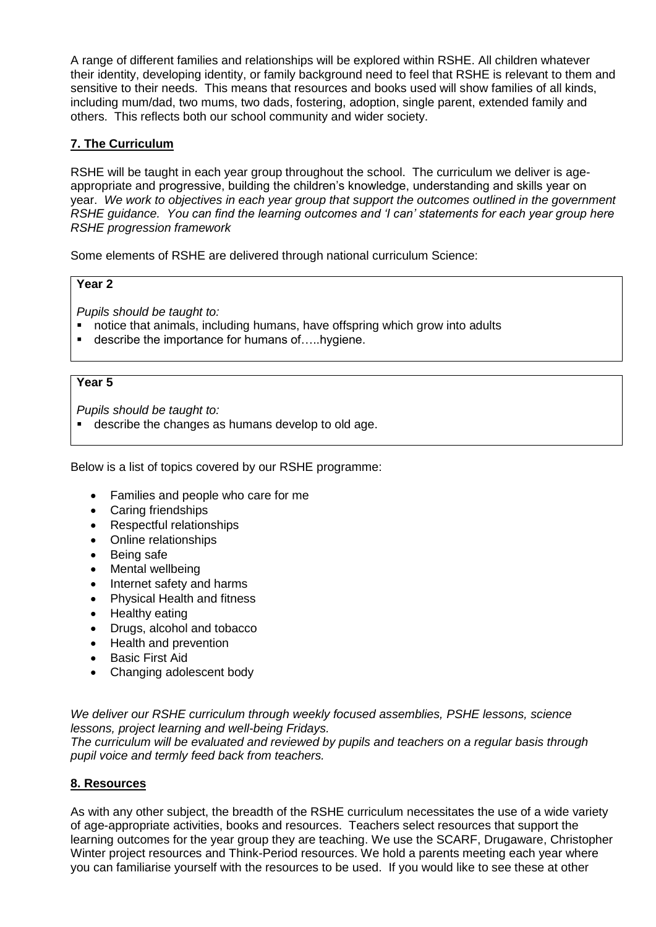A range of different families and relationships will be explored within RSHE. All children whatever their identity, developing identity, or family background need to feel that RSHE is relevant to them and sensitive to their needs. This means that resources and books used will show families of all kinds, including mum/dad, two mums, two dads, fostering, adoption, single parent, extended family and others. This reflects both our school community and wider society.

### **7. The Curriculum**

RSHE will be taught in each year group throughout the school. The curriculum we deliver is ageappropriate and progressive, building the children's knowledge, understanding and skills year on year. We work to objectives in each year group that support the outcomes outlined in the government RSHE guidance. Y*ou can find the learning outcomes and 'I can' statements for each year group here*  RSHE progression framework

Some elements of RSHE are delivered through national curriculum Science:

### **Year 2**

Pupils should be taught to:

- notice that animals, including humans, have offspring which grow into adults
- describe the importance for humans of.....hygiene.

### **Year 5**

Pupils should be taught to:

describe the changes as humans develop to old age.

Below is a list of topics covered by our RSHE programme:

- Families and people who care for me
- Caring friendships
- Respectful relationships
- Online relationships
- Being safe
- Mental wellbeing
- Internet safety and harms
- Physical Health and fitness
- Healthy eating
- Drugs, alcohol and tobacco
- Health and prevention
- Basic First Aid
- Changing adolescent body

We deliver our RSHE curriculum through weekly focused assemblies, PSHE lessons, science lessons, project learning and well-being Fridays.

The curriculum will be evaluated and reviewed by pupils and teachers on a regular basis through pupil voice and termly feed back from teachers.

### **8. Resources**

As with any other subject, the breadth of the RSHE curriculum necessitates the use of a wide variety of age-appropriate activities, books and resources. Teachers select resources that support the learning outcomes for the year group they are teaching. We use the SCARF, Drugaware, Christopher Winter project resources and Think-Period resources. We hold a parents meeting each year where you can familiarise yourself with the resources to be used. If you would like to see these at other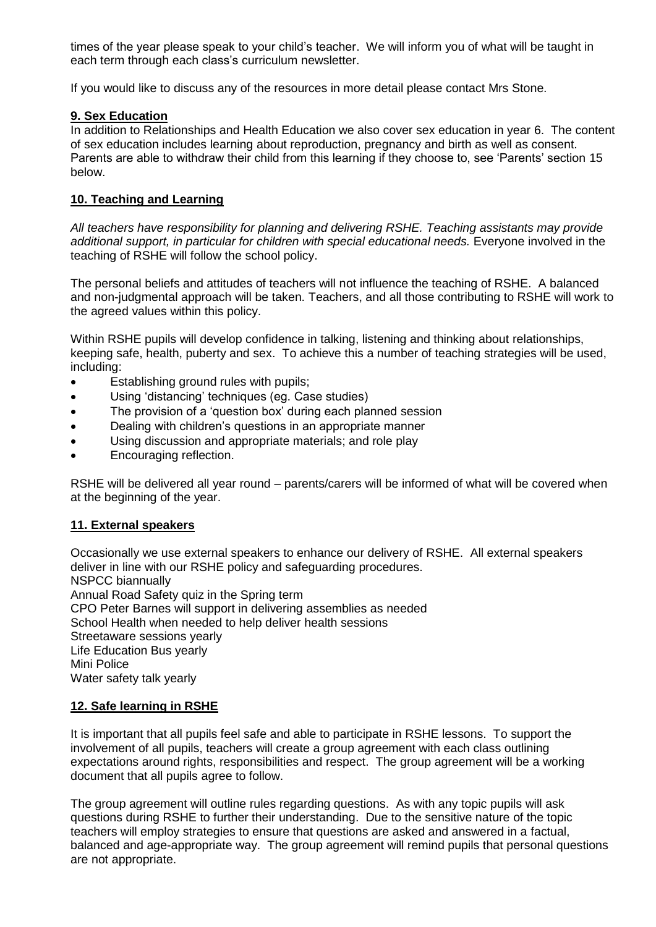times of the year please speak to your child's teacher. We will inform you of what will be taught in each term through each class's curriculum newsletter.

If you would like to discuss any of the resources in more detail please contact Mrs Stone.

### **9. Sex Education**

In addition to Relationships and Health Education we also cover sex education in year 6. The content of sex education includes learning about reproduction, pregnancy and birth as well as consent. Parents are able to withdraw their child from this learning if they choose to, see 'Parents' section 15 below.

### **10. Teaching and Learning**

All teachers have responsibility for planning and delivering RSHE. Teaching assistants may provide additional support, in particular for children with special educational needs. Everyone involved in the teaching of RSHE will follow the school policy.

The personal beliefs and attitudes of teachers will not influence the teaching of RSHE. A balanced and non-judgmental approach will be taken. Teachers, and all those contributing to RSHE will work to the agreed values within this policy.

Within RSHE pupils will develop confidence in talking, listening and thinking about relationships, keeping safe, health, puberty and sex. To achieve this a number of teaching strategies will be used, including:

- Establishing ground rules with pupils;
- Using 'distancing' techniques (eg. Case studies)
- The provision of a 'question box' during each planned session
- Dealing with children's questions in an appropriate manner
- Using discussion and appropriate materials; and role play
- Encouraging reflection.

RSHE will be delivered all year round – parents/carers will be informed of what will be covered when at the beginning of the year.

## **11. External speakers**

Occasionally we use external speakers to enhance our delivery of RSHE. All external speakers deliver in line with our RSHE policy and safeguarding procedures. NSPCC biannually Annual Road Safety quiz in the Spring term CPO Peter Barnes will support in delivering assemblies as needed School Health when needed to help deliver health sessions Streetaware sessions yearly Life Education Bus yearly Mini Police Water safety talk yearly

### **12. Safe learning in RSHE**

It is important that all pupils feel safe and able to participate in RSHE lessons. To support the involvement of all pupils, teachers will create a group agreement with each class outlining expectations around rights, responsibilities and respect. The group agreement will be a working document that all pupils agree to follow.

The group agreement will outline rules regarding questions. As with any topic pupils will ask questions during RSHE to further their understanding. Due to the sensitive nature of the topic teachers will employ strategies to ensure that questions are asked and answered in a factual, balanced and age-appropriate way. The group agreement will remind pupils that personal questions are not appropriate.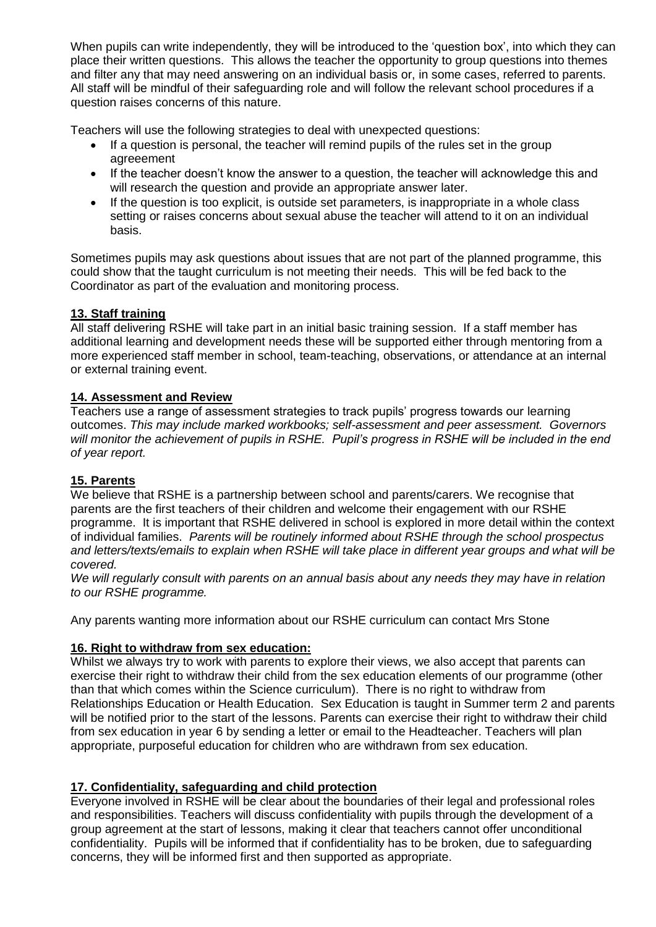When pupils can write independently, they will be introduced to the 'question box', into which they can place their written questions. This allows the teacher the opportunity to group questions into themes and filter any that may need answering on an individual basis or, in some cases, referred to parents. All staff will be mindful of their safeguarding role and will follow the relevant school procedures if a question raises concerns of this nature.

Teachers will use the following strategies to deal with unexpected questions:

- If a question is personal, the teacher will remind pupils of the rules set in the group agreeement
- If the teacher doesn't know the answer to a question, the teacher will acknowledge this and will research the question and provide an appropriate answer later.
- If the question is too explicit, is outside set parameters, is inappropriate in a whole class setting or raises concerns about sexual abuse the teacher will attend to it on an individual basis.

Sometimes pupils may ask questions about issues that are not part of the planned programme, this could show that the taught curriculum is not meeting their needs. This will be fed back to the Coordinator as part of the evaluation and monitoring process.

## **13. Staff training**

All staff delivering RSHE will take part in an initial basic training session. If a staff member has additional learning and development needs these will be supported either through mentoring from a more experienced staff member in school, team-teaching, observations, or attendance at an internal or external training event.

### **14. Assessment and Review**

Teachers use a range of assessment strategies to track pupils' progress towards our learning outcomes. This may include marked workbooks; self-assessment and peer assessment. Governors will monitor the achievement of pupils in RSHE. *Pupil's progress in RSHE will be included in the end*  of year report.

### **15. Parents**

We believe that RSHE is a partnership between school and parents/carers. We recognise that parents are the first teachers of their children and welcome their engagement with our RSHE programme. It is important that RSHE delivered in school is explored in more detail within the context of individual families. Parents will be routinely informed about RSHE through the school prospectus and letters/texts/emails to explain when RSHE will take place in different year groups and what will be covered.

We will regularly consult with parents on an annual basis about any needs they may have in relation to our RSHE programme.

Any parents wanting more information about our RSHE curriculum can contact Mrs Stone

## **16. Right to withdraw from sex education:**

Whilst we always try to work with parents to explore their views, we also accept that parents can exercise their right to withdraw their child from the sex education elements of our programme (other than that which comes within the Science curriculum). There is no right to withdraw from Relationships Education or Health Education. Sex Education is taught in Summer term 2 and parents will be notified prior to the start of the lessons. Parents can exercise their right to withdraw their child from sex education in year 6 by sending a letter or email to the Headteacher. Teachers will plan appropriate, purposeful education for children who are withdrawn from sex education.

## **17. Confidentiality, safeguarding and child protection**

Everyone involved in RSHE will be clear about the boundaries of their legal and professional roles and responsibilities. Teachers will discuss confidentiality with pupils through the development of a group agreement at the start of lessons, making it clear that teachers cannot offer unconditional confidentiality. Pupils will be informed that if confidentiality has to be broken, due to safeguarding concerns, they will be informed first and then supported as appropriate.